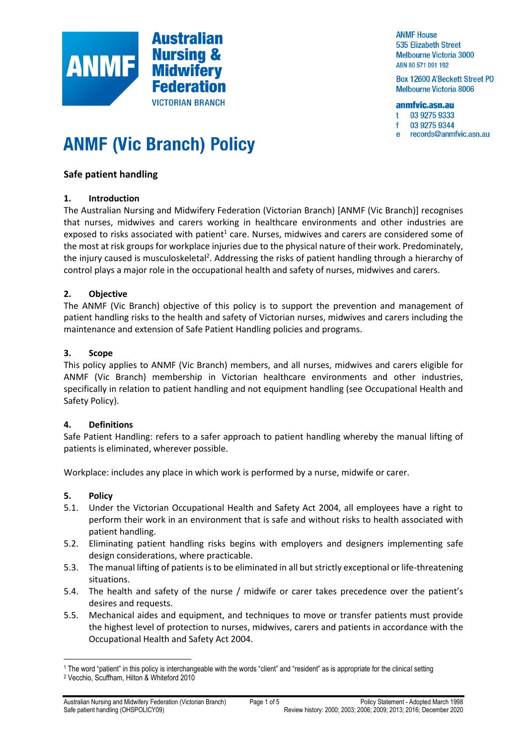

**ANMF House 535 Elizabeth Street Melbourne Victoria 3000** ABN 80 571 091 192

Box 12600 A'Beckett Street PO **Melbourne Victoria 8006** 

#### anmfvic.asn.au

03 9275 9333  $\ddot{\phantom{1}}$ 

03 9275 9344 Ŧ

records@anmfvic.asn.au  $\mathbf{e}$ 

# **ANMF (Vic Branch) Policy**

# **[Safe patient handling](mailto:records@anmfvic.asn.au)**

# **1. Introduction**

The Australian Nursing and Midwifery Federation (Victorian Branch) [ANMF (Vic Branch)] recognises that nurses, midwives and carers working in healthcare environments and other industries are exposed to risks associated with patient<sup>1</sup> care. Nurses, midwives and carers are considered some of the most at risk groups for workplace injuries due to the physical nature of their work. Predominately, the injury caused is musculoskeletal<sup>2</sup>. Addressing the risks of patient handling through a hierarchy of control plays a major role in the occupational health and safety of nurses, midwives and carers.

# **2. Objective**

The ANMF (Vic Branch) objective of this policy is to support the prevention and management of patient handling risks to the health and safety of Victorian nurses, midwives and carers including the maintenance and extension of Safe Patient Handling policies and programs.

#### **3. Scope**

This policy applies to ANMF (Vic Branch) members, and all nurses, midwives and carers eligible for ANMF (Vic Branch) membership in Victorian healthcare environments and other industries, specifically in relation to patient handling and not equipment handling (see Occupational Health and Safety Policy).

# **4. Definitions**

Safe Patient Handling: refers to a safer approach to patient handling whereby the manual lifting of patients is eliminated, wherever possible.

Workplace: includes any place in which work is performed by a nurse, midwife or carer.

# **5. Policy**

- 5.1. Under the Victorian Occupational Health and Safety Act 2004, all employees have a right to perform their work in an environment that is safe and without risks to health associated with patient handling.
- 5.2. Eliminating patient handling risks begins with employers and designers implementing safe design considerations, where practicable.
- 5.3. The manual lifting of patients is to be eliminated in all but strictly exceptional or life-threatening situations.
- 5.4. The health and safety of the nurse / midwife or carer takes precedence over the patient's desires and requests.
- 5.5. Mechanical aides and equipment, and techniques to move or transfer patients must provide the highest level of protection to nurses, midwives, carers and patients in accordance with the Occupational Health and Safety Act 2004.

<sup>1</sup> The word "patient" in this policy is interchangeable with the words "client" and "resident" as is appropriate for the clinical setting <sup>2</sup> Vecchio, Scuffham, Hilton & Whiteford 2010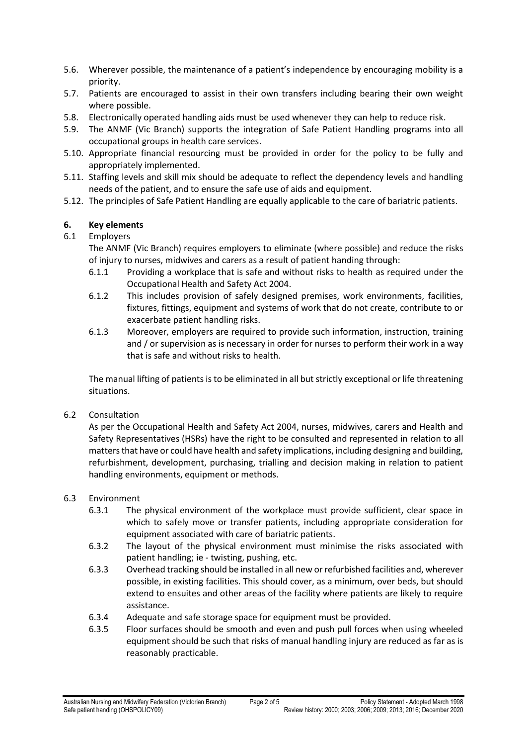- 5.6. Wherever possible, the maintenance of a patient's independence by encouraging mobility is a priority.
- 5.7. Patients are encouraged to assist in their own transfers including bearing their own weight where possible.
- 5.8. Electronically operated handling aids must be used whenever they can help to reduce risk.
- 5.9. The ANMF (Vic Branch) supports the integration of Safe Patient Handling programs into all occupational groups in health care services.
- 5.10. Appropriate financial resourcing must be provided in order for the policy to be fully and appropriately implemented.
- 5.11. Staffing levels and skill mix should be adequate to reflect the dependency levels and handling needs of the patient, and to ensure the safe use of aids and equipment.
- 5.12. The principles of Safe Patient Handling are equally applicable to the care of bariatric patients.

# **6. Key elements**

# 6.1 Employers

- The ANMF (Vic Branch) requires employers to eliminate (where possible) and reduce the risks of injury to nurses, midwives and carers as a result of patient handing through:
- 6.1.1 Providing a workplace that is safe and without risks to health as required under the Occupational Health and Safety Act 2004.
- 6.1.2 This includes provision of safely designed premises, work environments, facilities, fixtures, fittings, equipment and systems of work that do not create, contribute to or exacerbate patient handling risks.
- 6.1.3 Moreover, employers are required to provide such information, instruction, training and / or supervision as is necessary in order for nurses to perform their work in a way that is safe and without risks to health.

The manual lifting of patients is to be eliminated in all but strictly exceptional or life threatening situations.

6.2 Consultation

As per the Occupational Health and Safety Act 2004, nurses, midwives, carers and Health and Safety Representatives (HSRs) have the right to be consulted and represented in relation to all matters that have or could have health and safety implications, including designing and building, refurbishment, development, purchasing, trialling and decision making in relation to patient handling environments, equipment or methods.

# 6.3 Environment

- 6.3.1 The physical environment of the workplace must provide sufficient, clear space in which to safely move or transfer patients, including appropriate consideration for equipment associated with care of bariatric patients.
- 6.3.2 The layout of the physical environment must minimise the risks associated with patient handling; ie - twisting, pushing, etc.
- 6.3.3 Overhead tracking should be installed in all new or refurbished facilities and, wherever possible, in existing facilities. This should cover, as a minimum, over beds, but should extend to ensuites and other areas of the facility where patients are likely to require assistance.
- 6.3.4 Adequate and safe storage space for equipment must be provided.
- 6.3.5 Floor surfaces should be smooth and even and push pull forces when using wheeled equipment should be such that risks of manual handling injury are reduced as far as is reasonably practicable.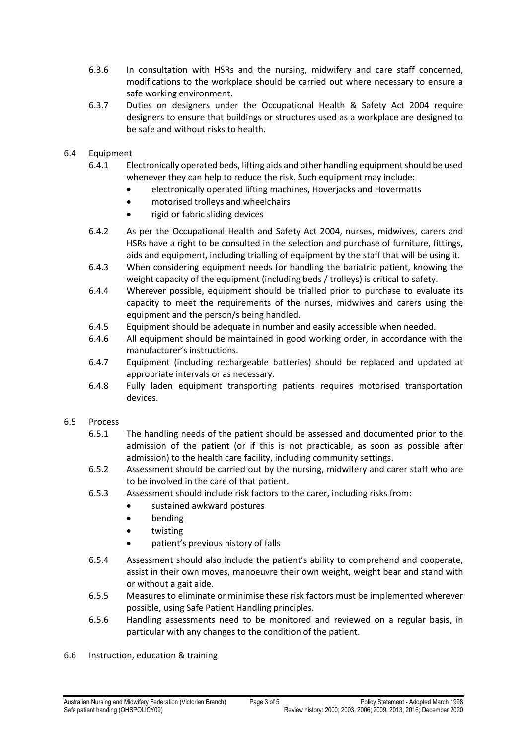- 6.3.6 In consultation with HSRs and the nursing, midwifery and care staff concerned, modifications to the workplace should be carried out where necessary to ensure a safe working environment.
- 6.3.7 Duties on designers under the Occupational Health & Safety Act 2004 require designers to ensure that buildings or structures used as a workplace are designed to be safe and without risks to health.
- 6.4 Equipment
	- 6.4.1 Electronically operated beds, lifting aids and other handling equipment should be used whenever they can help to reduce the risk. Such equipment may include:
		- electronically operated lifting machines, Hoverjacks and Hovermatts
		- motorised trolleys and wheelchairs
		- rigid or fabric sliding devices
	- 6.4.2 As per the Occupational Health and Safety Act 2004, nurses, midwives, carers and HSRs have a right to be consulted in the selection and purchase of furniture, fittings, aids and equipment, including trialling of equipment by the staff that will be using it.
	- 6.4.3 When considering equipment needs for handling the bariatric patient, knowing the weight capacity of the equipment (including beds / trolleys) is critical to safety.
	- 6.4.4 Wherever possible, equipment should be trialled prior to purchase to evaluate its capacity to meet the requirements of the nurses, midwives and carers using the equipment and the person/s being handled.
	- 6.4.5 Equipment should be adequate in number and easily accessible when needed.
	- 6.4.6 All equipment should be maintained in good working order, in accordance with the manufacturer's instructions.
	- 6.4.7 Equipment (including rechargeable batteries) should be replaced and updated at appropriate intervals or as necessary.
	- 6.4.8 Fully laden equipment transporting patients requires motorised transportation devices.

# 6.5 Process

- 6.5.1 The handling needs of the patient should be assessed and documented prior to the admission of the patient (or if this is not practicable, as soon as possible after admission) to the health care facility, including community settings.
- 6.5.2 Assessment should be carried out by the nursing, midwifery and carer staff who are to be involved in the care of that patient.
- 6.5.3 Assessment should include risk factors to the carer, including risks from:
	- sustained awkward postures
	- bending
	- twisting
	- patient's previous history of falls
- 6.5.4 Assessment should also include the patient's ability to comprehend and cooperate, assist in their own moves, manoeuvre their own weight, weight bear and stand with or without a gait aide.
- 6.5.5 Measures to eliminate or minimise these risk factors must be implemented wherever possible, using Safe Patient Handling principles.
- 6.5.6 Handling assessments need to be monitored and reviewed on a regular basis, in particular with any changes to the condition of the patient.
- 6.6 Instruction, education & training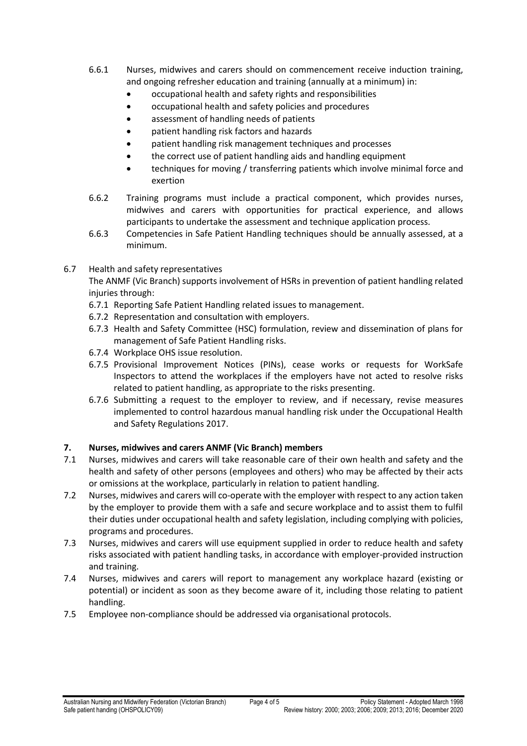- 6.6.1 Nurses, midwives and carers should on commencement receive induction training, and ongoing refresher education and training (annually at a minimum) in:
	- occupational health and safety rights and responsibilities
	- occupational health and safety policies and procedures
	- assessment of handling needs of patients
	- patient handling risk factors and hazards
	- patient handling risk management techniques and processes
	- the correct use of patient handling aids and handling equipment
	- techniques for moving / transferring patients which involve minimal force and exertion
- 6.6.2 Training programs must include a practical component, which provides nurses, midwives and carers with opportunities for practical experience, and allows participants to undertake the assessment and technique application process.
- 6.6.3 Competencies in Safe Patient Handling techniques should be annually assessed, at a minimum.
- 6.7 Health and safety representatives

The ANMF (Vic Branch) supports involvement of HSRs in prevention of patient handling related injuries through:

- 6.7.1 Reporting Safe Patient Handling related issues to management.
- 6.7.2 Representation and consultation with employers.
- 6.7.3 Health and Safety Committee (HSC) formulation, review and dissemination of plans for management of Safe Patient Handling risks.
- 6.7.4 Workplace OHS issue resolution.
- 6.7.5 Provisional Improvement Notices (PINs), cease works or requests for WorkSafe Inspectors to attend the workplaces if the employers have not acted to resolve risks related to patient handling, as appropriate to the risks presenting.
- 6.7.6 Submitting a request to the employer to review, and if necessary, revise measures implemented to control hazardous manual handling risk under the Occupational Health and Safety Regulations 2017.

# **7. Nurses, midwives and carers ANMF (Vic Branch) members**

- 7.1 Nurses, midwives and carers will take reasonable care of their own health and safety and the health and safety of other persons (employees and others) who may be affected by their acts or omissions at the workplace, particularly in relation to patient handling.
- 7.2 Nurses, midwives and carers will co-operate with the employer with respect to any action taken by the employer to provide them with a safe and secure workplace and to assist them to fulfil their duties under occupational health and safety legislation, including complying with policies, programs and procedures.
- 7.3 Nurses, midwives and carers will use equipment supplied in order to reduce health and safety risks associated with patient handling tasks, in accordance with employer-provided instruction and training.
- 7.4 Nurses, midwives and carers will report to management any workplace hazard (existing or potential) or incident as soon as they become aware of it, including those relating to patient handling.
- 7.5 Employee non-compliance should be addressed via organisational protocols.